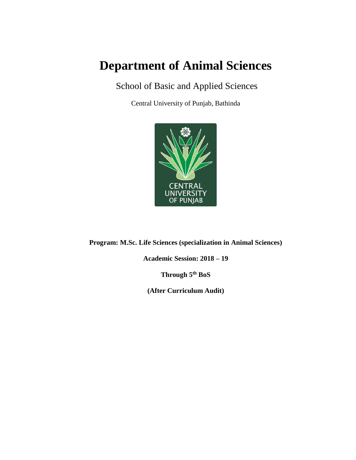# **Department of Animal Sciences**

# School of Basic and Applied Sciences

Central University of Punjab, Bathinda



**Program: M.Sc. Life Sciences (specialization in Animal Sciences)**

**Academic Session: 2018 – 19**

**Through 5th BoS**

**(After Curriculum Audit)**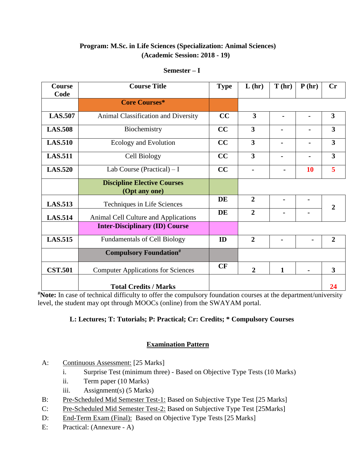#### **Program: M.Sc. in Life Sciences (Specialization: Animal Sciences) (Academic Session: 2018 - 19)**

| $Semester-$ |  |
|-------------|--|
|             |  |

| Course         | <b>Course Title</b>                                 | <b>Type</b> | L(hr)                   | T(hr)          | P(hr)          | Cr                      |
|----------------|-----------------------------------------------------|-------------|-------------------------|----------------|----------------|-------------------------|
| Code           |                                                     |             |                         |                |                |                         |
|                | <b>Core Courses*</b>                                |             |                         |                |                |                         |
| <b>LAS.507</b> | Animal Classification and Diversity                 | CC          | 3                       | $\blacksquare$ |                | $\overline{\mathbf{3}}$ |
| <b>LAS.508</b> | Biochemistry                                        | CC          | $\overline{\mathbf{3}}$ | $\blacksquare$ |                | $\overline{\mathbf{3}}$ |
| <b>LAS.510</b> | Ecology and Evolution                               | CC          | $\overline{\mathbf{3}}$ |                |                | $\overline{\mathbf{3}}$ |
| <b>LAS.511</b> | Cell Biology                                        | CC          | 3                       |                |                | $\overline{\mathbf{3}}$ |
| <b>LAS.520</b> | Lab Course (Practical) $-I$                         | CC          |                         |                | <b>10</b>      | 5                       |
|                | <b>Discipline Elective Courses</b><br>(Opt any one) |             |                         |                |                |                         |
| <b>LAS.513</b> | Techniques in Life Sciences                         | <b>DE</b>   | $\overline{2}$          | $\blacksquare$ | $\blacksquare$ | $\overline{2}$          |
| <b>LAS.514</b> | Animal Cell Culture and Applications                | DE          | $\overline{2}$          |                |                |                         |
|                | <b>Inter-Disciplinary (ID) Course</b>               |             |                         |                |                |                         |
| <b>LAS.515</b> | <b>Fundamentals of Cell Biology</b>                 | ID          | $\overline{2}$          | Ξ.             | $\blacksquare$ | $\overline{2}$          |
|                | <b>Compulsory Foundation#</b>                       |             |                         |                |                |                         |
| <b>CST.501</b> | <b>Computer Applications for Sciences</b>           | CF          | $\overline{2}$          | 1              |                | 3                       |
|                | <b>Total Credits / Marks</b>                        |             |                         |                |                | 24                      |

**#Note:** In case of technical difficulty to offer the compulsory foundation courses at the department/university level, the student may opt through MOOCs (online) from the SWAYAM portal.

#### **L: Lectures; T: Tutorials; P: Practical; Cr: Credits; \* Compulsory Courses**

- A: Continuous Assessment: [25 Marks]
	- i. Surprise Test (minimum three) Based on Objective Type Tests (10 Marks)
	- ii. Term paper (10 Marks)
	- iii. Assignment(s) (5 Marks)
- B: Pre-Scheduled Mid Semester Test-1: Based on Subjective Type Test [25 Marks]
- C: Pre-Scheduled Mid Semester Test-2: Based on Subjective Type Test [25Marks]
- D: End-Term Exam (Final): Based on Objective Type Tests [25 Marks]
- E: Practical: (Annexure A)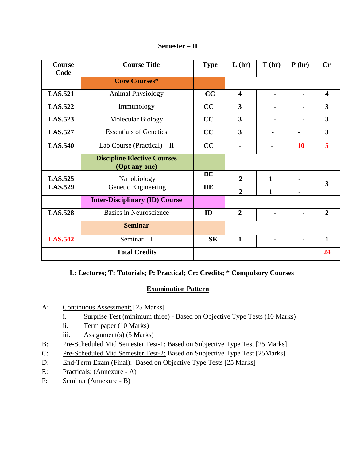| Semester – II |  |
|---------------|--|
|---------------|--|

| <b>Course</b><br>Code | <b>Course Title</b>                                 | <b>Type</b> | L(hr)                   | T(hr)          | P(hr)     | Cr                      |
|-----------------------|-----------------------------------------------------|-------------|-------------------------|----------------|-----------|-------------------------|
|                       | <b>Core Courses*</b>                                |             |                         |                |           |                         |
| <b>LAS.521</b>        | Animal Physiology                                   | CC          | $\overline{\mathbf{4}}$ |                |           | $\overline{\mathbf{4}}$ |
| <b>LAS.522</b>        | Immunology                                          | CC          | $\overline{\mathbf{3}}$ |                |           | $\overline{\mathbf{3}}$ |
| <b>LAS.523</b>        | <b>Molecular Biology</b>                            | CC          | $\overline{\mathbf{3}}$ |                |           | $\overline{3}$          |
| <b>LAS.527</b>        | <b>Essentials of Genetics</b>                       | CC          | $\overline{\mathbf{3}}$ |                |           | $\overline{3}$          |
| <b>LAS.540</b>        | Lab Course (Practical) $-$ II                       | CC          | $\blacksquare$          | $\blacksquare$ | <b>10</b> | 5                       |
|                       | <b>Discipline Elective Courses</b><br>(Opt any one) |             |                         |                |           |                         |
| <b>LAS.525</b>        | Nanobiology                                         | <b>DE</b>   | $\overline{2}$          | $\mathbf{1}$   |           |                         |
| <b>LAS.529</b>        | Genetic Engineering                                 | DE          | $\overline{2}$          | 1              |           | 3                       |
|                       | <b>Inter-Disciplinary (ID) Course</b>               |             |                         |                |           |                         |
| <b>LAS.528</b>        | <b>Basics in Neuroscience</b>                       | ID          | $\overline{2}$          |                |           | $\overline{2}$          |
|                       | <b>Seminar</b>                                      |             |                         |                |           |                         |
| <b>LAS.542</b>        | Seminar $-I$                                        | <b>SK</b>   | $\mathbf{1}$            |                |           | $\mathbf{1}$            |
|                       | <b>Total Credits</b>                                |             |                         |                |           | 24                      |

#### **L: Lectures; T: Tutorials; P: Practical; Cr: Credits; \* Compulsory Courses**

- A: Continuous Assessment: [25 Marks]
	- i. Surprise Test (minimum three) Based on Objective Type Tests (10 Marks)
	- ii. Term paper (10 Marks)
	- iii. Assignment(s) (5 Marks)
- B: Pre-Scheduled Mid Semester Test-1: Based on Subjective Type Test [25 Marks]
- C: Pre-Scheduled Mid Semester Test-2: Based on Subjective Type Test [25Marks]
- D: End-Term Exam (Final): Based on Objective Type Tests [25 Marks]
- E: Practicals: (Annexure A)
- F: Seminar (Annexure B)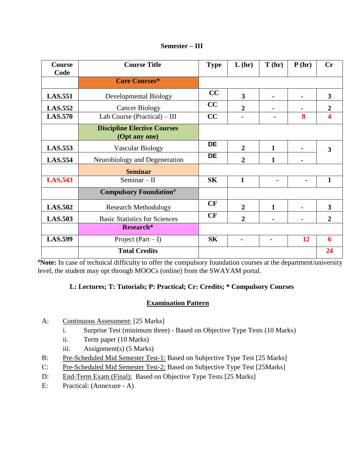| Semester – III |  |
|----------------|--|
|----------------|--|

| <b>Course</b><br>Code | <b>Course Title</b>                                 | <b>Type</b> | L(hr)          | T(hr)          | P(hr) | Cr                      |
|-----------------------|-----------------------------------------------------|-------------|----------------|----------------|-------|-------------------------|
|                       | <b>Core Courses*</b>                                |             |                |                |       |                         |
| <b>LAS.551</b>        | <b>Developmental Biology</b>                        | CC          | 3              |                |       | $\overline{\mathbf{3}}$ |
| <b>LAS.552</b>        | <b>Cancer Biology</b>                               | CC          | $\overline{2}$ |                |       | $\overline{2}$          |
| <b>LAS.570</b>        | Lab Course (Practical) - III                        | CC          |                |                | 8     | 4                       |
|                       | <b>Discipline Elective Courses</b><br>(Opt any one) |             |                |                |       |                         |
| <b>LAS.553</b>        | Vascular Biology                                    | <b>DE</b>   | $\overline{2}$ | 1              |       | 3                       |
| <b>LAS.554</b>        | Neurobiology and Degeneration                       | <b>DE</b>   | $\overline{2}$ | 1              |       |                         |
|                       | <b>Seminar</b>                                      |             |                |                |       |                         |
| <b>LAS.543</b>        | Seminar $-$ II                                      | <b>SK</b>   | $\mathbf{1}$   |                |       | $\mathbf{1}$            |
|                       | <b>Compulsory Foundation#</b>                       |             |                |                |       |                         |
| <b>LAS.502</b>        | <b>Research Methodology</b>                         | CF          | $\overline{2}$ | 1              |       | $\overline{\mathbf{3}}$ |
| <b>LAS.503</b>        | <b>Basic Statistics for Sciences</b>                | CF          | $\overline{2}$ |                |       | $\overline{2}$          |
|                       | Research*                                           |             |                |                |       |                         |
| <b>LAS.599</b>        | Project $(Part - I)$                                | <b>SK</b>   | $\blacksquare$ | $\blacksquare$ | 12    | 6                       |
|                       | <b>Total Credits</b>                                |             |                |                |       | 24                      |

**#Note:** In case of technical difficulty to offer the compulsory foundation courses at the department/university level, the student may opt through MOOCs (online) from the SWAYAM portal.

#### **L: Lectures; T: Tutorials; P: Practical; Cr: Credits; \* Compulsory Courses**

- A: Continuous Assessment: [25 Marks]
	- i. Surprise Test (minimum three) Based on Objective Type Tests (10 Marks)
	- ii. Term paper (10 Marks)
	- iii. Assignment(s) (5 Marks)
- B: Pre-Scheduled Mid Semester Test-1: Based on Subjective Type Test [25 Marks]
- C: Pre-Scheduled Mid Semester Test-2: Based on Subjective Type Test [25Marks]
- D: End-Term Exam (Final): Based on Objective Type Tests [25 Marks]
- E: Practical: (Annexure A)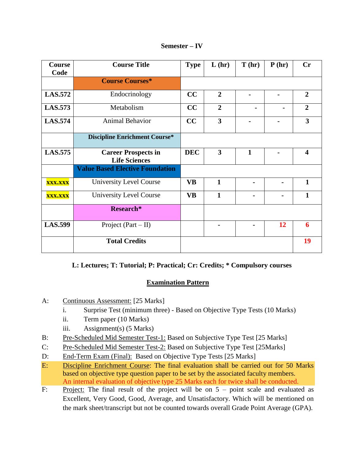| <b>Course</b><br>Code | <b>Course Title</b>                                | <b>Type</b> | L(hr)                   | T(hr)        | P(hr)          | Cr                      |
|-----------------------|----------------------------------------------------|-------------|-------------------------|--------------|----------------|-------------------------|
|                       | <b>Course Courses*</b>                             |             |                         |              |                |                         |
| <b>LAS.572</b>        | Endocrinology                                      | CC          | $\overline{2}$          |              |                | $\overline{2}$          |
| <b>LAS.573</b>        | Metabolism                                         | CC          | $\overline{2}$          |              | $\blacksquare$ | $\overline{2}$          |
| <b>LAS.574</b>        | <b>Animal Behavior</b>                             | CC          | $\overline{\mathbf{3}}$ |              |                | 3                       |
|                       | <b>Discipline Enrichment Course*</b>               |             |                         |              |                |                         |
| <b>LAS.575</b>        | <b>Career Prospects in</b><br><b>Life Sciences</b> | <b>DEC</b>  | 3                       | $\mathbf{1}$ |                | $\overline{\mathbf{4}}$ |
|                       | <b>Value Based Elective Foundation</b>             |             |                         |              |                |                         |
| <b>XXX.XXX</b>        | <b>University Level Course</b>                     | <b>VB</b>   | 1                       |              |                | $\mathbf{1}$            |
| <b>XXX.XXX</b>        | <b>University Level Course</b>                     | <b>VB</b>   | $\mathbf{1}$            |              |                | $\mathbf{1}$            |
|                       | Research*                                          |             |                         |              |                |                         |
| <b>LAS.599</b>        | Project $(Part - II)$                              |             | -                       |              | 12             | 6                       |
|                       | <b>Total Credits</b>                               |             |                         |              |                | 19                      |

**Semester – IV**

#### **L: Lectures; T: Tutorial; P: Practical; Cr: Credits; \* Compulsory courses**

- A: Continuous Assessment: [25 Marks]
	- i. Surprise Test (minimum three) Based on Objective Type Tests (10 Marks)
	- ii. Term paper (10 Marks)
	- iii. Assignment(s) (5 Marks)
- B: Pre-Scheduled Mid Semester Test-1: Based on Subjective Type Test [25 Marks]
- C: Pre-Scheduled Mid Semester Test-2: Based on Subjective Type Test [25Marks]
- D: End-Term Exam (Final): Based on Objective Type Tests [25 Marks]
- E: Discipline Enrichment Course: The final evaluation shall be carried out for 50 Marks based on objective type question paper to be set by the associated faculty members. An internal evaluation of objective type 25 Marks each for twice shall be conducted.
- F: Project: The final result of the project will be on  $5$  point scale and evaluated as Excellent, Very Good, Good, Average, and Unsatisfactory. Which will be mentioned on the mark sheet/transcript but not be counted towards overall Grade Point Average (GPA).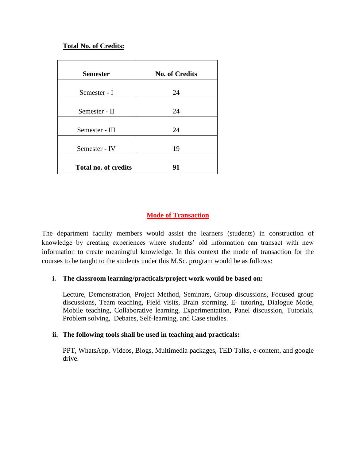#### **Total No. of Credits:**

| <b>Semester</b>             | <b>No. of Credits</b> |
|-----------------------------|-----------------------|
| Semester - I                | 24                    |
| Semester - II               | 24                    |
| Semester - III              | 24                    |
| Semester - IV               | 19                    |
| <b>Total no. of credits</b> | 91                    |

#### **Mode of Transaction**

The department faculty members would assist the learners (students) in construction of knowledge by creating experiences where students' old information can transact with new information to create meaningful knowledge. In this context the mode of transaction for the courses to be taught to the students under this M.Sc. program would be as follows:

#### **i. The classroom learning/practicals/project work would be based on:**

Lecture, Demonstration, Project Method, Seminars, Group discussions, Focused group discussions, Team teaching, Field visits, Brain storming, E- tutoring, Dialogue Mode, Mobile teaching, Collaborative learning, Experimentation, Panel discussion, Tutorials, Problem solving, Debates, Self-learning, and Case studies.

#### **ii. The following tools shall be used in teaching and practicals:**

PPT, WhatsApp, Videos, Blogs, Multimedia packages, TED Talks, e-content, and google drive.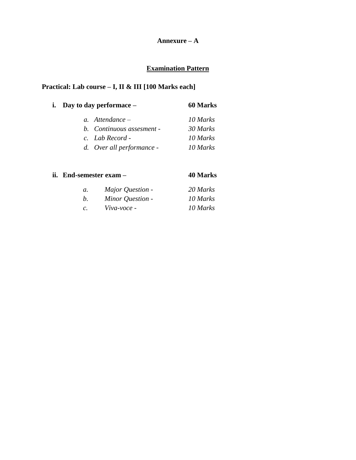#### **Annexure – A**

## **Examination Pattern**

#### **Practical: Lab course – I, II & III [100 Marks each]**

| i. Day to day performace $-$ | <b>60 Marks</b> |
|------------------------------|-----------------|
| a. Attendance $-$            | 10 Marks        |
| b. Continuous assesment -    | 30 Marks        |
| c. Lab Record -              | 10 Marks        |
| d. Over all performance -    | 10 Marks        |

#### **ii. End-semester exam – 40 Marks**

| а. | Major Question - | 20 Marks |
|----|------------------|----------|
| b. | Minor Question - | 10 Marks |
| c. | Viva-voce -      | 10 Marks |